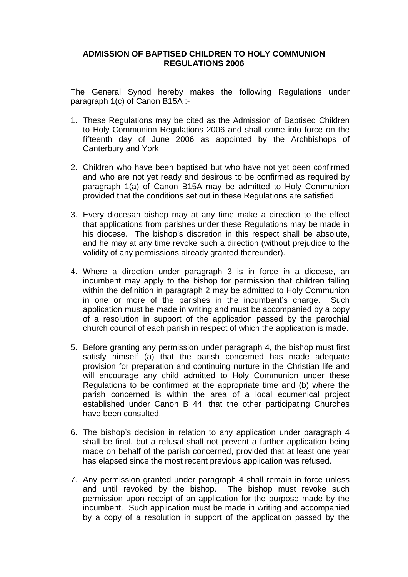## **ADMISSION OF BAPTISED CHILDREN TO HOLY COMMUNION REGULATIONS 2006**

The General Synod hereby makes the following Regulations under paragraph 1(c) of Canon B15A :-

- 1. These Regulations may be cited as the Admission of Baptised Children to Holy Communion Regulations 2006 and shall come into force on the fifteenth day of June 2006 as appointed by the Archbishops of Canterbury and York
- 2. Children who have been baptised but who have not yet been confirmed and who are not yet ready and desirous to be confirmed as required by paragraph 1(a) of Canon B15A may be admitted to Holy Communion provided that the conditions set out in these Regulations are satisfied.
- 3. Every diocesan bishop may at any time make a direction to the effect that applications from parishes under these Regulations may be made in his diocese. The bishop's discretion in this respect shall be absolute, and he may at any time revoke such a direction (without prejudice to the validity of any permissions already granted thereunder).
- 4. Where a direction under paragraph 3 is in force in a diocese, an incumbent may apply to the bishop for permission that children falling within the definition in paragraph 2 may be admitted to Holy Communion in one or more of the parishes in the incumbent's charge. Such application must be made in writing and must be accompanied by a copy of a resolution in support of the application passed by the parochial church council of each parish in respect of which the application is made.
- 5. Before granting any permission under paragraph 4, the bishop must first satisfy himself (a) that the parish concerned has made adequate provision for preparation and continuing nurture in the Christian life and will encourage any child admitted to Holy Communion under these Regulations to be confirmed at the appropriate time and (b) where the parish concerned is within the area of a local ecumenical project established under Canon B 44, that the other participating Churches have been consulted.
- 6. The bishop's decision in relation to any application under paragraph 4 shall be final, but a refusal shall not prevent a further application being made on behalf of the parish concerned, provided that at least one year has elapsed since the most recent previous application was refused.
- 7. Any permission granted under paragraph 4 shall remain in force unless and until revoked by the bishop. The bishop must revoke such permission upon receipt of an application for the purpose made by the incumbent. Such application must be made in writing and accompanied by a copy of a resolution in support of the application passed by the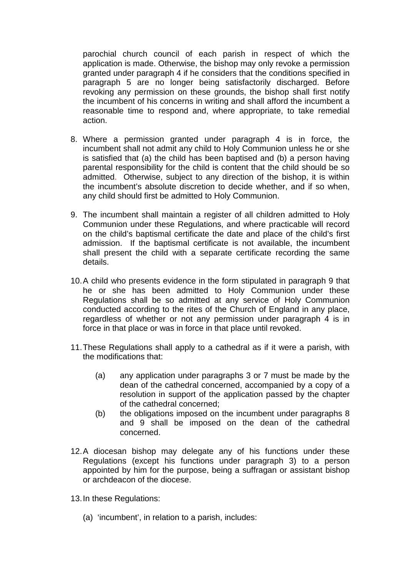parochial church council of each parish in respect of which the application is made. Otherwise, the bishop may only revoke a permission granted under paragraph 4 if he considers that the conditions specified in paragraph 5 are no longer being satisfactorily discharged. Before revoking any permission on these grounds, the bishop shall first notify the incumbent of his concerns in writing and shall afford the incumbent a reasonable time to respond and, where appropriate, to take remedial action.

- 8. Where a permission granted under paragraph 4 is in force, the incumbent shall not admit any child to Holy Communion unless he or she is satisfied that (a) the child has been baptised and (b) a person having parental responsibility for the child is content that the child should be so admitted. Otherwise, subject to any direction of the bishop, it is within the incumbent's absolute discretion to decide whether, and if so when, any child should first be admitted to Holy Communion.
- 9. The incumbent shall maintain a register of all children admitted to Holy Communion under these Regulations, and where practicable will record on the child's baptismal certificate the date and place of the child's first admission. If the baptismal certificate is not available, the incumbent shall present the child with a separate certificate recording the same details.
- 10.A child who presents evidence in the form stipulated in paragraph 9 that he or she has been admitted to Holy Communion under these Regulations shall be so admitted at any service of Holy Communion conducted according to the rites of the Church of England in any place, regardless of whether or not any permission under paragraph 4 is in force in that place or was in force in that place until revoked.
- 11.These Regulations shall apply to a cathedral as if it were a parish, with the modifications that:
	- (a) any application under paragraphs 3 or 7 must be made by the dean of the cathedral concerned, accompanied by a copy of a resolution in support of the application passed by the chapter of the cathedral concerned;
	- (b) the obligations imposed on the incumbent under paragraphs 8 and 9 shall be imposed on the dean of the cathedral concerned.
- 12.A diocesan bishop may delegate any of his functions under these Regulations (except his functions under paragraph 3) to a person appointed by him for the purpose, being a suffragan or assistant bishop or archdeacon of the diocese.
- 13.In these Regulations:
	- (a) 'incumbent', in relation to a parish, includes: